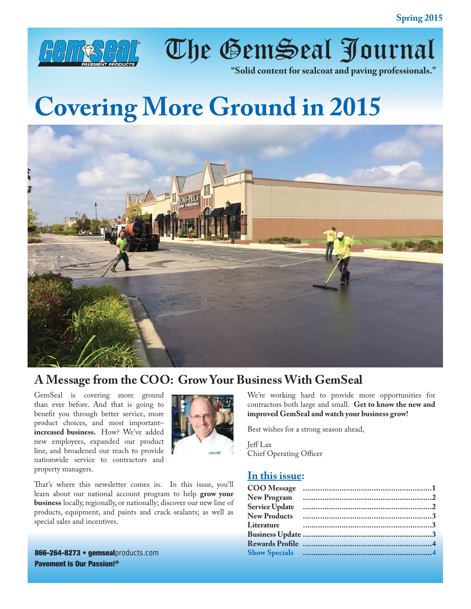

The GemSeal Journal

**"Solid content for sealcoat and paving professionals."**

# **Covering More Ground in 2015**



# **A Message from the COO: Grow Your Business With GemSeal**

GemSeal is covering more ground than ever before. And that is going to benefit you through better service, more product choices, and most important– **increased business.** How? We've added new employees, expanded our product line, and broadened our reach to provide nationwide service to contractors and property managers.



That's where this newsletter comes in. In this issue, you'll learn about our national account program to help **grow your business** locally, regionally, or nationally; discover our new line of products, equipment, and paints and crack sealants; as well as special sales and incentives.

866-264-8273 • gemsealproducts.com Pavement is Our Passion!®

We're working hard to provide more opportunities for contractors both large and small. **Get to know the new and improved GemSeal and watch your business grow!** 

Best wishes for a strong season ahead,

Jeff Lax Chief Operating Officer

#### **In this issue:**

| <b>New Program</b>    |  |
|-----------------------|--|
| <b>Service Update</b> |  |
| <b>New Products</b>   |  |
| Literature            |  |
|                       |  |
|                       |  |
|                       |  |
|                       |  |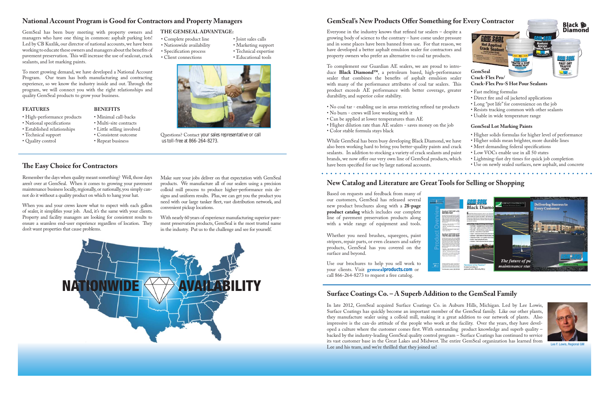Based on requests and feedback from many of our customers, GemSeal has released several new product brochures along with a **28-page product catalog** which includes our complete line of pavement preservation products along with a wide range of equipment and tools.

Whether you need brushes, squeegees, paint stripers, repair parts, or even cleaners and safety products, GemSeal has you covered on the surface and beyond.

Use our brochures to help you sell work to your clients. Visit **gemsealproducts.com** or call 866-264-8273 to request a free catalog.

- Complete product line
- Nationwide availability
- Specification process
- Client connections
- Marketing support • Technical expertise



Questions? Contact your sales representative or call us toll-free at 866-264-8273.

#### **The Easy Choice for Contractors**

• Joint sales calls

• Educational tools

# **New Catalog and Literature are Great Tools for Selling or Shopping**

Everyone in the industry knows that refined tar sealers  $-$  despite a growing body of science to the contrary – have come under pressure and in some places have been banned from use. For that reason, we have developed a better asphalt emulsion sealer for contractors and property owners who prefer an alternative to coal tar products.

GemSeal has been busy meeting with property owners and managers who have one thing in common: asphalt parking lots! Led by CB Kuzlik, our director of national accounts, we have been working to educate these owners and managers about the benefits of pavement preservation. This will increase the use of sealcoat, crack sealants, and lot marking paints.

- No coal tar enabling use in areas restricting refined tar products
- No burn crews will love working with it
- Can be applied at lower temperatures than AE
- Higher dilution rate than AE sealers saves money on the job
- Color stable formula stays black

While GemSeal has been busy developing Black Diamond, we have also been working hard to bring you better-quality paints and crack sealants. In addition to stocking a variety of crack sealants and paint brands, we now offer our very own line of GemSeal products, which have been specified for use by large national accounts.

#### 

To meet growing demand, we have developed a National Account Program. Our team has both manufacturing and contracting experience, so we know the industry inside and out. Through the program, we will connect you with the right relationships and quality GemSeal products to grow your business.

To complement our Guardian AE sealers, we are proud to introduce **Black Diamond™**, a petroleum based, high-performance sealer that combines the benefits of asphalt emulsion sealer with many of the performance attributes of coal tar sealers. This product exceeds AE performance with better coverage, greater durability, and superior color stability.

- Direct fire and oil jacketed applications
- Long "pot life" for convenience on the job
- Resists tracking common with other sealants
- Usable in wide temperature range

#### **FEATURES BENEFITS**

- High-performance products Minimal call-backs<br>• National specifications Multi-site contracts
- 
- National specifications Multi-site contracts<br>• Established relationships Little selling involved • Established relationships<br>• Technical support
- 
- Quality control
- Consistent outcome<br>• Repeat business

Remember the days when quality meant something? Well, those days aren't over at GemSeal. When it comes to growing your pavement maintenance business locally, regionally, or nationally, you simply cannot do it without a quality product on which to hang your hat.



## **GemSeal's New Products Offer Something for Every Contractor**

When you and your crews know what to expect with each gallon of sealer, it simplifies your job. And, it's the same with your clients. Property and facility managers are looking for consistent results to ensure a seamless end-user experience regardless of location. They don't want properties that cause problems.

Make sure your jobs deliver on that expectation with GemSeal products. We manufacture all of our sealers using a precision colloid mill process to produce higher-performance mix designs and uniform results. Plus, we can get you the product you need with our large tanker fleet, vast distribution network, and convenient pickup locations.

With nearly 60 years of experience manufacturing superior pavement preservation products, GemSeal is the most trusted name in the industry. Put us to the challenge and see for yourself.



#### **GemSeal Lot Marking Paints**

- Higher solids formulas for higher level of performance
- Higher solids mean brighter, more durable lines
- Meet demanding federal specifications
- Low VOCs enable use in all 50 states
- Lightning-fast dry times for quick job completion
- Use on newly sealed surfaces, new asphalt, and concrete



Lee F. Lowis, Regional GM

## **Surface Coatings Co. – A Superb Addition to the GemSeal Family**

In late 2012, GemSeal acquired Surface Coatings Co. in Auburn Hills, Michigan. Led by Lee Lowis, Surface Coatings has quickly become an important member of the GemSeal family. Like our other plants, they manufacture sealer using a colloid mill, making it a great addition to our network of plants. Also impressive is the can-do attitude of the people who work at the facility. Over the years, they have developed a culture where the customer comes first. With outstanding product knowledge and superb quality – backed by the industry-leading GemSeal quality control program – Surface Coatings has continued to service its vast customer base in the Great Lakes and Midwest. The entire GemSeal organization has learned from Lee and his team, and we're thrilled that they joined us!



#### **THE GEMSEAL ADVANTAGE:**

#### **National Account Program is Good for Contractors and Property Managers**